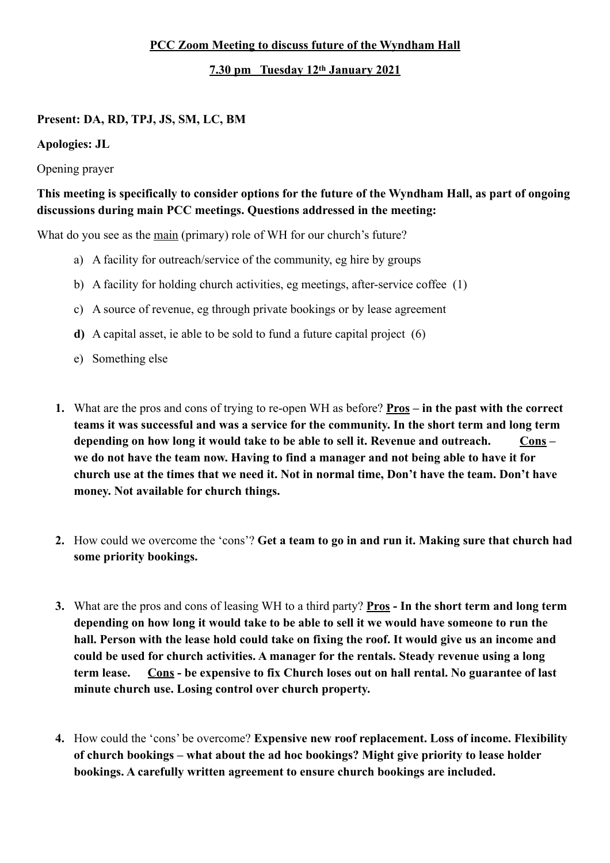## **PCC Zoom Meeting to discuss future of the Wyndham Hall**

## **7.30 pm Tuesday 12th January 2021**

## **Present: DA, RD, TPJ, JS, SM, LC, BM**

**Apologies: JL** 

Opening prayer

## **This meeting is specifically to consider options for the future of the Wyndham Hall, as part of ongoing discussions during main PCC meetings. Questions addressed in the meeting:**

What do you see as the main (primary) role of WH for our church's future?

- a) A facility for outreach/service of the community, eg hire by groups
- b) A facility for holding church activities, eg meetings, after-service coffee (1)
- c) A source of revenue, eg through private bookings or by lease agreement
- **d)** A capital asset, ie able to be sold to fund a future capital project (6)
- e) Something else
- **1.** What are the pros and cons of trying to re-open WH as before? **Pros in the past with the correct teams it was successful and was a service for the community. In the short term and long term**  depending on how long it would take to be able to sell it. Revenue and outreach. Cons**we do not have the team now. Having to find a manager and not being able to have it for church use at the times that we need it. Not in normal time, Don't have the team. Don't have money. Not available for church things.**
- **2.** How could we overcome the 'cons'? **Get a team to go in and run it. Making sure that church had some priority bookings.**
- **3.** What are the pros and cons of leasing WH to a third party? **Pros In the short term and long term depending on how long it would take to be able to sell it we would have someone to run the hall. Person with the lease hold could take on fixing the roof. It would give us an income and could be used for church activities. A manager for the rentals. Steady revenue using a long term lease. Cons - be expensive to fix Church loses out on hall rental. No guarantee of last minute church use. Losing control over church property.**
- **4.** How could the 'cons' be overcome? **Expensive new roof replacement. Loss of income. Flexibility of church bookings – what about the ad hoc bookings? Might give priority to lease holder bookings. A carefully written agreement to ensure church bookings are included.**